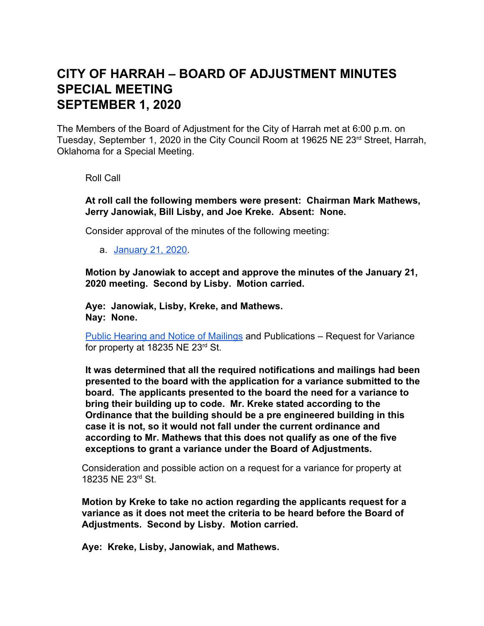## **CITY OF HARRAH – BOARD OF ADJUSTMENT MINUTES SPECIAL MEETING SEPTEMBER 1, 2020**

The Members of the Board of Adjustment for the City of Harrah met at 6:00 p.m. on Tuesday, September 1, 2020 in the City Council Room at 19625 NE 23<sup>rd</sup> Street, Harrah, Oklahoma for a Special Meeting.

Roll Call

**At roll call the following members were present: Chairman Mark Mathews, Jerry Janowiak, Bill Lisby, and Joe Kreke. Absent: None.**

Consider approval of the minutes of the following meeting:

a. [January 21, 2020.](https://docs.google.com/document/d/1lrZQNzCjqv-jhl9xA_A8KUaiakzCNK9zIbyASdccK1c/edit?usp=sharing)

**Motion by Janowiak to accept and approve the minutes of the January 21, 2020 meeting. Second by Lisby. Motion carried.**

**Aye: Janowiak, Lisby, Kreke, and Mathews. Nay: None.**

[Public Hearing and Notice of Mailings](https://drive.google.com/file/d/1r34KPwwniiFiME45qyqQZAvQjiIW2n-Z/view?usp=sharing) and Publications – Request for Variance for property at 18235 NE 23 $rd$  St.

**It was determined that all the required notifications and mailings had been presented to the board with the application for a variance submitted to the board. The applicants presented to the board the need for a variance to bring their building up to code. Mr. Kreke stated according to the Ordinance that the building should be a pre engineered building in this case it is not, so it would not fall under the current ordinance and according to Mr. Mathews that this does not qualify as one of the five exceptions to grant a variance under the Board of Adjustments.**

Consideration and possible action on a request for a variance for property at 18235 NE 23rd St.

**Motion by Kreke to take no action regarding the applicants request for a variance as it does not meet the criteria to be heard before the Board of Adjustments. Second by Lisby. Motion carried.**

**Aye: Kreke, Lisby, Janowiak, and Mathews.**